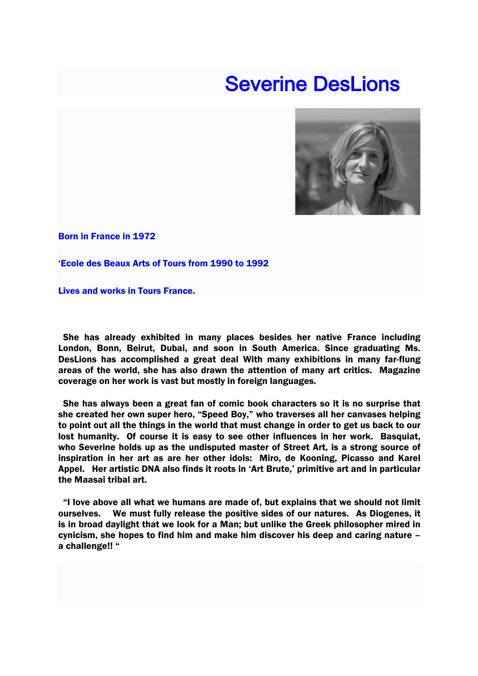## Severine DesLions



Born in France in 1972

'Ecole des Beaux Arts of Tours from 1990 to 1992

Lives and works in Tours France.

She has already exhibited in many places besides her native France including London, Bonn, Beirut, Dubai, and soon in South America. Since graduating Ms. DesLions has accomplished a great deal With many exhibitions in many far-flung areas of the world, she has also drawn the attention of many art critics. Magazine coverage on her work is vast but mostly in foreign languages.

She has always been a great fan of comic book characters so it is no surprise that she created her own super hero, "Speed Boy," who traverses all her canvases helping to point out all the things in the world that must change in order to get us back to our lost humanity. Of course it is easy to see other influences in her work. Basquiat, who Severine holds up as the undisputed master of Street Art, is a strong source of inspiration in her art as are her other idols: Miro, de Kooning, Picasso and Karel Appel. Her artistic DNA also finds it roots in 'Art Brute,' primitive art and in particular the Maasai tribal art.

"I love above all what we humans are made of, but explains that we should not limit ourselves. We must fully release the positive sides of our natures. As Diogenes, it is in broad daylight that we look for a Man; but unlike the Greek philosopher mired in cynicism, she hopes to find him and make him discover his deep and caring nature – a challenge!! "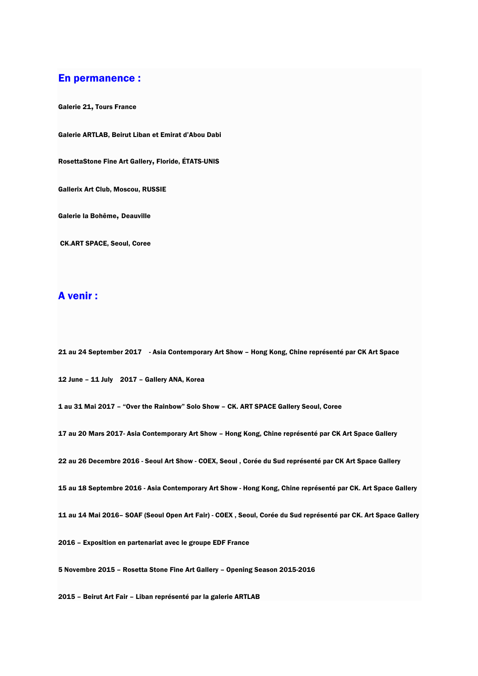## En permanence :

Galerie 21, Tours France

Galerie ARTLAB, Beirut Liban et Emirat d'Abou Dabi

RosettaStone Fine Art Gallery, Floride, ÉTATS-UNIS

Gallerix Art Club, Moscou, RUSSIE

Galerie la Bohême, Deauville

CK.ART SPACE, Seoul, Coree

## A venir :

21 au 24 September 2017 - Asia Contemporary Art Show – Hong Kong, Chine représenté par CK Art Space

12 June – 11 July 2017 – Gallery ANA, Korea

1 au 31 Mai 2017 – "Over the Rainbow" Solo Show – CK. ART SPACE Gallery Seoul, Coree

17 au 20 Mars 2017- Asia Contemporary Art Show – Hong Kong, Chine représenté par CK Art Space Gallery

22 au 26 Decembre 2016 - Seoul Art Show - COEX, Seoul , Corée du Sud représenté par CK Art Space Gallery

15 au 18 Septembre 2016 - Asia Contemporary Art Show - Hong Kong, Chine représenté par CK. Art Space Gallery

11 au 14 Mai 2016– SOAF (Seoul Open Art Fair) - COEX , Seoul, Corée du Sud représenté par CK. Art Space Gallery

2016 – Exposition en partenariat avec le groupe EDF France

5 Novembre 2015 – Rosetta Stone Fine Art Gallery – Opening Season 2015-2016

2015 – Beirut Art Fair – Liban représenté par la galerie ARTLAB